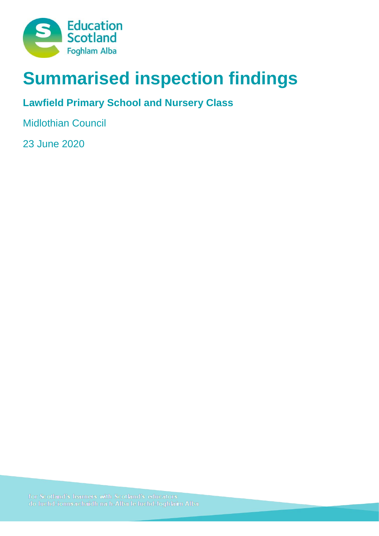

# **Summarised inspection findings**

# **Lawfield Primary School and Nursery Class**

Midlothian Council

23 June 2020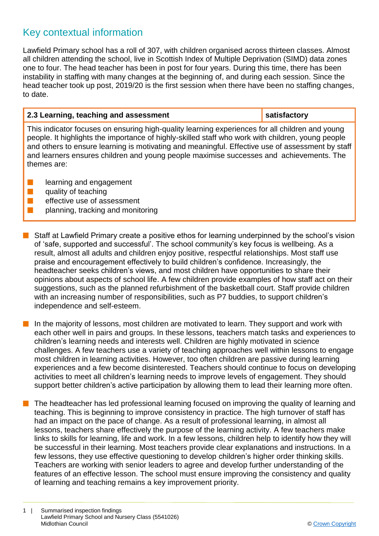# Key contextual information

Lawfield Primary school has a roll of 307, with children organised across thirteen classes. Almost all children attending the school, live in Scottish Index of Multiple Deprivation (SIMD) data zones one to four. The head teacher has been in post for four years. During this time, there has been instability in staffing with many changes at the beginning of, and during each session. Since the head teacher took up post, 2019/20 is the first session when there have been no staffing changes, to date.

## **2.3 Learning, teaching and assessment satisfactory**

This indicator focuses on ensuring high-quality learning experiences for all children and young people. It highlights the importance of highly-skilled staff who work with children, young people and others to ensure learning is motivating and meaningful. Effective use of assessment by staff and learners ensures children and young people maximise successes and achievements. The themes are:

- **n** learning and engagement
- $\blacksquare$  quality of teaching
- $\blacksquare$  effective use of assessment
- $\blacksquare$  planning, tracking and monitoring
- Staff at Lawfield Primary create a positive ethos for learning underpinned by the school's vision of 'safe, supported and successful'. The school community's key focus is wellbeing. As a result, almost all adults and children enjoy positive, respectful relationships. Most staff use praise and encouragement effectively to build children's confidence. Increasingly, the headteacher seeks children's views, and most children have opportunities to share their opinions about aspects of school life. A few children provide examples of how staff act on their suggestions, such as the planned refurbishment of the basketball court. Staff provide children with an increasing number of responsibilities, such as P7 buddies, to support children's independence and self-esteem.
- n In the majority of lessons, most children are motivated to learn. They support and work with each other well in pairs and groups. In these lessons, teachers match tasks and experiences to children's learning needs and interests well. Children are highly motivated in science challenges. A few teachers use a variety of teaching approaches well within lessons to engage most children in learning activities. However, too often children are passive during learning experiences and a few become disinterested. Teachers should continue to focus on developing activities to meet all children's learning needs to improve levels of engagement. They should support better children's active participation by allowing them to lead their learning more often.
- The headteacher has led professional learning focused on improving the quality of learning and teaching. This is beginning to improve consistency in practice. The high turnover of staff has had an impact on the pace of change. As a result of professional learning, in almost all lessons, teachers share effectively the purpose of the learning activity. A few teachers make links to skills for learning, life and work. In a few lessons, children help to identify how they will be successful in their learning. Most teachers provide clear explanations and instructions. In a few lessons, they use effective questioning to develop children's higher order thinking skills. Teachers are working with senior leaders to agree and develop further understanding of the features of an effective lesson. The school must ensure improving the consistency and quality of learning and teaching remains a key improvement priority.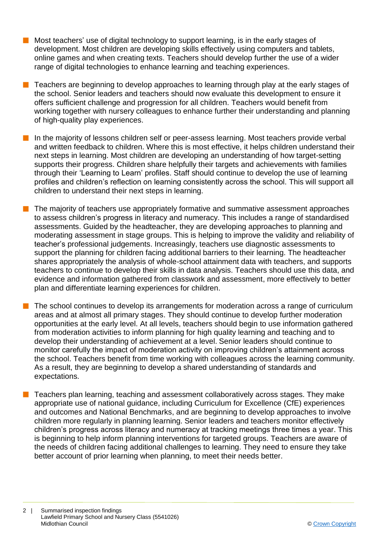- $\blacksquare$  Most teachers' use of digital technology to support learning, is in the early stages of development. Most children are developing skills effectively using computers and tablets, online games and when creating texts. Teachers should develop further the use of a wider range of digital technologies to enhance learning and teaching experiences.
- n Teachers are beginning to develop approaches to learning through play at the early stages of the school. Senior leaders and teachers should now evaluate this development to ensure it offers sufficient challenge and progression for all children. Teachers would benefit from working together with nursery colleagues to enhance further their understanding and planning of high-quality play experiences.
- n In the majority of lessons children self or peer-assess learning. Most teachers provide verbal and written feedback to children. Where this is most effective, it helps children understand their next steps in learning. Most children are developing an understanding of how target-setting supports their progress. Children share helpfully their targets and achievements with families through their 'Learning to Learn' profiles. Staff should continue to develop the use of learning profiles and children's reflection on learning consistently across the school. This will support all children to understand their next steps in learning.
- n The majority of teachers use appropriately formative and summative assessment approaches to assess children's progress in literacy and numeracy. This includes a range of standardised assessments. Guided by the headteacher, they are developing approaches to planning and moderating assessment in stage groups. This is helping to improve the validity and reliability of teacher's professional judgements. Increasingly, teachers use diagnostic assessments to support the planning for children facing additional barriers to their learning. The headteacher shares appropriately the analysis of whole-school attainment data with teachers, and supports teachers to continue to develop their skills in data analysis. Teachers should use this data, and evidence and information gathered from classwork and assessment, more effectively to better plan and differentiate learning experiences for children.
- $\blacksquare$  The school continues to develop its arrangements for moderation across a range of curriculum areas and at almost all primary stages. They should continue to develop further moderation opportunities at the early level. At all levels, teachers should begin to use information gathered from moderation activities to inform planning for high quality learning and teaching and to develop their understanding of achievement at a level. Senior leaders should continue to monitor carefully the impact of moderation activity on improving children's attainment across the school. Teachers benefit from time working with colleagues across the learning community. As a result, they are beginning to develop a shared understanding of standards and expectations.
	- n Teachers plan learning, teaching and assessment collaboratively across stages. They make appropriate use of national guidance, including Curriculum for Excellence (CfE) experiences and outcomes and National Benchmarks, and are beginning to develop approaches to involve children more regularly in planning learning. Senior leaders and teachers monitor effectively children's progress across literacy and numeracy at tracking meetings three times a year. This is beginning to help inform planning interventions for targeted groups. Teachers are aware of the needs of children facing additional challenges to learning. They need to ensure they take better account of prior learning when planning, to meet their needs better.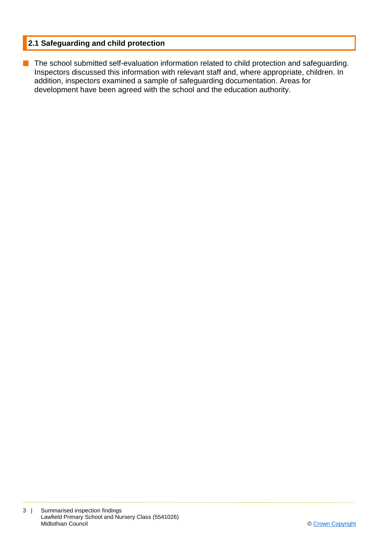## **2.1 Safeguarding and child protection**

**n** The school submitted self-evaluation information related to child protection and safeguarding. Inspectors discussed this information with relevant staff and, where appropriate, children. In addition, inspectors examined a sample of safeguarding documentation. Areas for development have been agreed with the school and the education authority.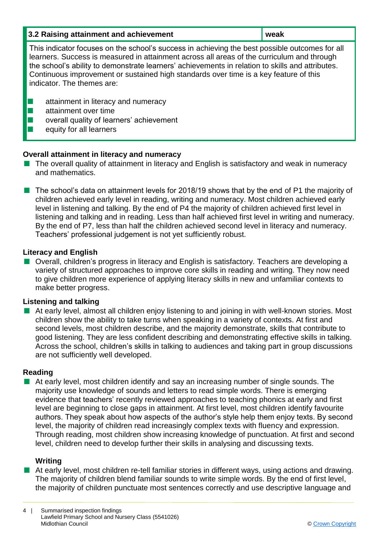| 3.2 Raising attainment and achievement                                                                                                                                                                                                                                                                                                                                                                                  | weak |  |
|-------------------------------------------------------------------------------------------------------------------------------------------------------------------------------------------------------------------------------------------------------------------------------------------------------------------------------------------------------------------------------------------------------------------------|------|--|
| This indicator focuses on the school's success in achieving the best possible outcomes for all<br>learners. Success is measured in attainment across all areas of the curriculum and through<br>the school's ability to demonstrate learners' achievements in relation to skills and attributes.<br>Continuous improvement or sustained high standards over time is a key feature of this<br>indicator. The themes are: |      |  |
| attainment in literacy and numeracy<br>attainment over time<br>overall quality of learners' achievement<br>equity for all learners                                                                                                                                                                                                                                                                                      |      |  |

## **Overall attainment in literacy and numeracy**

- $\blacksquare$  The overall quality of attainment in literacy and English is satisfactory and weak in numeracy and mathematics.
- $\blacksquare$  The school's data on attainment levels for 2018/19 shows that by the end of P1 the majority of children achieved early level in reading, writing and numeracy. Most children achieved early level in listening and talking. By the end of P4 the majority of children achieved first level in listening and talking and in reading. Less than half achieved first level in writing and numeracy. By the end of P7, less than half the children achieved second level in literacy and numeracy. Teachers' professional judgement is not yet sufficiently robust.

#### **Literacy and English**

■ Overall, children's progress in literacy and English is satisfactory. Teachers are developing a variety of structured approaches to improve core skills in reading and writing. They now need to give children more experience of applying literacy skills in new and unfamiliar contexts to make better progress.

#### **Listening and talking**

**n** At early level, almost all children enjoy listening to and joining in with well-known stories. Most children show the ability to take turns when speaking in a variety of contexts. At first and second levels, most children describe, and the majority demonstrate, skills that contribute to good listening. They are less confident describing and demonstrating effective skills in talking. Across the school, children's skills in talking to audiences and taking part in group discussions are not sufficiently well developed.

#### **Reading**

 $\blacksquare$  At early level, most children identify and say an increasing number of single sounds. The majority use knowledge of sounds and letters to read simple words. There is emerging evidence that teachers' recently reviewed approaches to teaching phonics at early and first level are beginning to close gaps in attainment. At first level, most children identify favourite authors. They speak about how aspects of the author's style help them enjoy texts. By second level, the majority of children read increasingly complex texts with fluency and expression. Through reading, most children show increasing knowledge of punctuation. At first and second level, children need to develop further their skills in analysing and discussing texts.

#### **Writing**

■ At early level, most children re-tell familiar stories in different ways, using actions and drawing. The majority of children blend familiar sounds to write simple words. By the end of first level, the majority of children punctuate most sentences correctly and use descriptive language and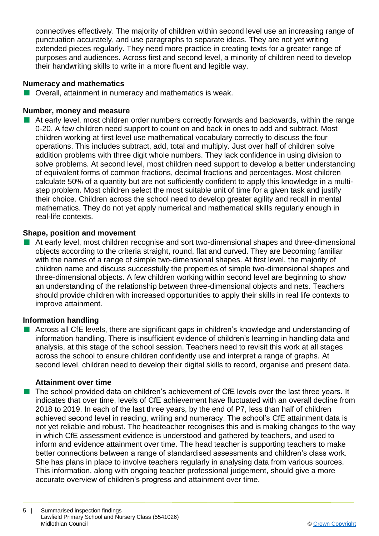connectives effectively. The majority of children within second level use an increasing range of punctuation accurately, and use paragraphs to separate ideas. They are not yet writing extended pieces regularly. They need more practice in creating texts for a greater range of purposes and audiences. Across first and second level, a minority of children need to develop their handwriting skills to write in a more fluent and legible way.

## **Numeracy and mathematics**

 $\blacksquare$  Overall, attainment in numeracy and mathematics is weak.

#### **Number, money and measure**

 $\blacksquare$  At early level, most children order numbers correctly forwards and backwards, within the range 0-20. A few children need support to count on and back in ones to add and subtract. Most children working at first level use mathematical vocabulary correctly to discuss the four operations. This includes subtract, add, total and multiply. Just over half of children solve addition problems with three digit whole numbers. They lack confidence in using division to solve problems. At second level, most children need support to develop a better understanding of equivalent forms of common fractions, decimal fractions and percentages. Most children calculate 50% of a quantity but are not sufficiently confident to apply this knowledge in a multistep problem. Most children select the most suitable unit of time for a given task and justify their choice. Children across the school need to develop greater agility and recall in mental mathematics. They do not yet apply numerical and mathematical skills regularly enough in real-life contexts.

#### **Shape, position and movement**

 $\blacksquare$  At early level, most children recognise and sort two-dimensional shapes and three-dimensional objects according to the criteria straight, round, flat and curved. They are becoming familiar with the names of a range of simple two-dimensional shapes. At first level, the majority of children name and discuss successfully the properties of simple two-dimensional shapes and three-dimensional objects. A few children working within second level are beginning to show an understanding of the relationship between three-dimensional objects and nets. Teachers should provide children with increased opportunities to apply their skills in real life contexts to improve attainment.

#### **Information handling**

n Across all CfE levels, there are significant gaps in children's knowledge and understanding of information handling. There is insufficient evidence of children's learning in handling data and analysis, at this stage of the school session. Teachers need to revisit this work at all stages across the school to ensure children confidently use and interpret a range of graphs. At second level, children need to develop their digital skills to record, organise and present data.

#### **Attainment over time**

**n** The school provided data on children's achievement of CfE levels over the last three years. It indicates that over time, levels of CfE achievement have fluctuated with an overall decline from 2018 to 2019. In each of the last three years, by the end of P7, less than half of children achieved second level in reading, writing and numeracy. The school's CfE attainment data is not yet reliable and robust. The headteacher recognises this and is making changes to the way in which CfE assessment evidence is understood and gathered by teachers, and used to inform and evidence attainment over time. The head teacher is supporting teachers to make better connections between a range of standardised assessments and children's class work. She has plans in place to involve teachers regularly in analysing data from various sources. This information, along with ongoing teacher professional judgement, should give a more accurate overview of children's progress and attainment over time.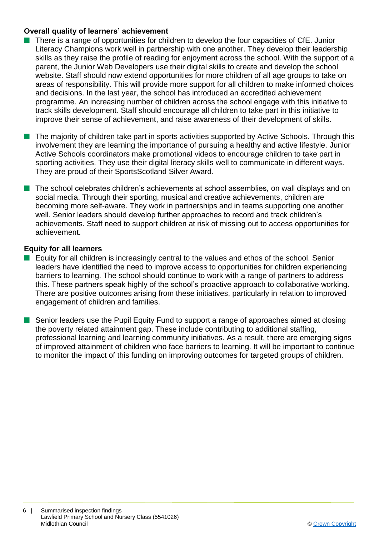#### **Overall quality of learners' achievement**

- $\blacksquare$  There is a range of opportunities for children to develop the four capacities of CfE. Junior Literacy Champions work well in partnership with one another. They develop their leadership skills as they raise the profile of reading for enjoyment across the school. With the support of a parent, the Junior Web Developers use their digital skills to create and develop the school website. Staff should now extend opportunities for more children of all age groups to take on areas of responsibility. This will provide more support for all children to make informed choices and decisions. In the last year, the school has introduced an accredited achievement programme. An increasing number of children across the school engage with this initiative to track skills development*.* Staff should encourage all children to take part in this initiative to improve their sense of achievement, and raise awareness of their development of skills.
- n The majority of children take part in sports activities supported by Active Schools. Through this involvement they are learning the importance of pursuing a healthy and active lifestyle. Junior Active Schools coordinators make promotional videos to encourage children to take part in sporting activities. They use their digital literacy skills well to communicate in different ways. They are proud of their SportsScotland Silver Award.
- The school celebrates children's achievements at school assemblies, on wall displays and on social media. Through their sporting, musical and creative achievements, children are becoming more self-aware. They work in partnerships and in teams supporting one another well. Senior leaders should develop further approaches to record and track children's achievements. Staff need to support children at risk of missing out to access opportunities for achievement.

## **Equity for all learners**

- $\blacksquare$  Equity for all children is increasingly central to the values and ethos of the school. Senior leaders have identified the need to improve access to opportunities for children experiencing barriers to learning. The school should continue to work with a range of partners to address this. These partners speak highly of the school's proactive approach to collaborative working. There are positive outcomes arising from these initiatives, particularly in relation to improved engagement of children and families.
- Senior leaders use the Pupil Equity Fund to support a range of approaches aimed at closing the poverty related attainment gap. These include contributing to additional staffing, professional learning and learning community initiatives. As a result, there are emerging signs of improved attainment of children who face barriers to learning. It will be important to continue to monitor the impact of this funding on improving outcomes for targeted groups of children.